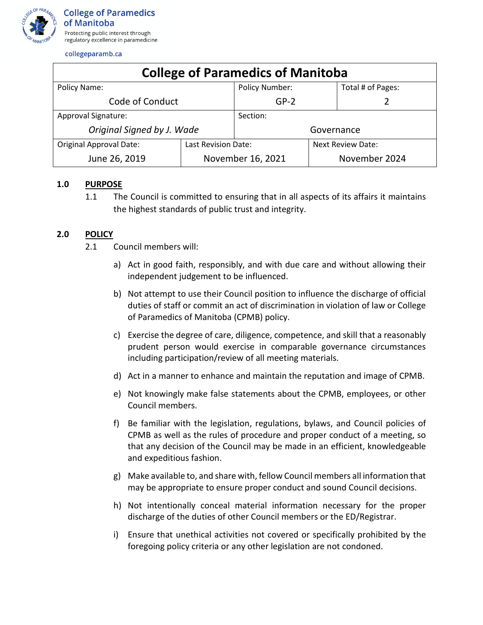

collegeparamb.ca

| <b>College of Paramedics of Manitoba</b> |                     |                       |                   |                   |
|------------------------------------------|---------------------|-----------------------|-------------------|-------------------|
| Policy Name:                             |                     | <b>Policy Number:</b> |                   | Total # of Pages: |
| Code of Conduct                          |                     | $GP-2$                |                   |                   |
| Approval Signature:                      |                     | Section:              |                   |                   |
| Original Signed by J. Wade               |                     | Governance            |                   |                   |
| <b>Original Approval Date:</b>           | Last Revision Date: |                       | Next Review Date: |                   |
| June 26, 2019                            | November 16, 2021   |                       | November 2024     |                   |

## **1.0 PURPOSE**

1.1 The Council is committed to ensuring that in all aspects of its affairs it maintains the highest standards of public trust and integrity.

## **2.0 POLICY**

- 2.1 Council members will:
	- a) Act in good faith, responsibly, and with due care and without allowing their independent judgement to be influenced.
	- b) Not attempt to use their Council position to influence the discharge of official duties of staff or commit an act of discrimination in violation of law or College of Paramedics of Manitoba (CPMB) policy.
	- c) Exercise the degree of care, diligence, competence, and skill that a reasonably prudent person would exercise in comparable governance circumstances including participation/review of all meeting materials.
	- d) Act in a manner to enhance and maintain the reputation and image of CPMB.
	- e) Not knowingly make false statements about the CPMB, employees, or other Council members.
	- f) Be familiar with the legislation, regulations, bylaws, and Council policies of CPMB as well as the rules of procedure and proper conduct of a meeting, so that any decision of the Council may be made in an efficient, knowledgeable and expeditious fashion.
	- g) Make available to, and share with, fellow Council members all information that may be appropriate to ensure proper conduct and sound Council decisions.
	- h) Not intentionally conceal material information necessary for the proper discharge of the duties of other Council members or the ED/Registrar.
	- i) Ensure that unethical activities not covered or specifically prohibited by the foregoing policy criteria or any other legislation are not condoned.